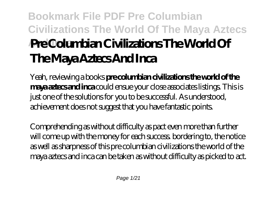# **Bookmark File PDF Pre Columbian Civilizations The World Of The Maya Aztecs And Inca Pre Columbian Civilizations The World Of The Maya Aztecs And Inca**

Yeah, reviewing a books **pre columbian civilizations the world of the maya aztecs and inca** could ensue your close associates listings. This is just one of the solutions for you to be successful. As understood, achievement does not suggest that you have fantastic points.

Comprehending as without difficulty as pact even more than further will come up with the money for each success. bordering to, the notice as well as sharpness of this pre columbian civilizations the world of the maya aztecs and inca can be taken as without difficulty as picked to act.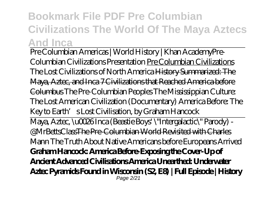## **Bookmark File PDF Pre Columbian Civilizations The World Of The Maya Aztecs And Inca**

Pre Columbian Americas | World History | Khan Academy*Pre-Columbian Civilizations Presentation* Pre Columbian Civilizations *The Lost Civilizations of North America* History Summarized: The Maya, Aztec, and Inca 7 Civilizations that Reached America before Columbus *The Pre-Columbian Peoples The Mississippian Culture: The Lost American Civilization (Documentary) America Before: The Key to Earth's Lost Civilisation, by Graham Hancock* Maya, Aztec, \u0026 Inca (Beastie Boys' \"Intergalactic\" Parody) - @MrBettsClassThe Pre-Columbian World Revisited with Charles Mann The Truth About Native Americans before Europeans Arrived **Graham Hancock: America Before-Exposing the Cover-Up of Ancient Advanced Civilisations America Unearthed: Underwater Aztec Pyramids Found in Wisconsin (S2, E8) | Full Episode | History** Page 2/21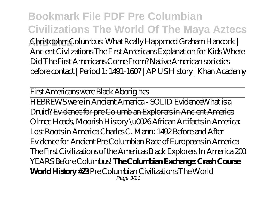**Bookmark File PDF Pre Columbian Civilizations The World Of The Maya Aztecs And Inca** *Christopher Columbus: What Really Happened* Graham Hancock | Ancient Civlizations The First Americans Explanation for Kids Where Did The First Americans Come From? *Native American societies before contact | Period 1: 1491-1607 | AP US History | Khan Academy*

First Americans were Black Aborigines

HEBREWS were in Ancient America - SOLID EvidenceWhat is a Druid? Evidence for pre Columbian Explorers in Ancient America *Olmec Heads, Moorish History \u0026 African Artifacts in America: Lost Roots in America Charles C. Mann: 1492 Before and After* Evidence for Ancient Pre Columbian Race of Europeans in America *The First Civilizations of the Americas Black Explorers In America 200 YEARS Before Columbus!* **The Columbian Exchange: Crash Course World History #23** Pre Columbian Civilizations The World Page 3/21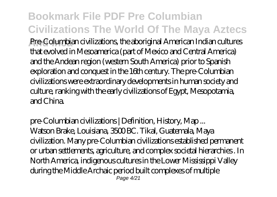## **Bookmark File PDF Pre Columbian Civilizations The World Of The Maya Aztecs**

**And Inca** Pre-Columbian civilizations, the aboriginal American Indian cultures that evolved in Mesoamerica (part of Mexico and Central America) and the Andean region (western South America) prior to Spanish exploration and conquest in the 16th century. The pre-Columbian civilizations were extraordinary developments in human society and culture, ranking with the early civilizations of Egypt, Mesopotamia, and China.

pre-Columbian civilizations | Definition, History, Map ... Watson Brake, Louisiana, 3500 BC. Tikal, Guatemala, Maya civilization. Many pre-Columbian civilizations established permanent or urban settlements, agriculture, and complex societal hierarchies . In North America, indigenous cultures in the Lower Mississippi Valley during the Middle Archaic period built complexes of multiple  $P$ age  $4/21$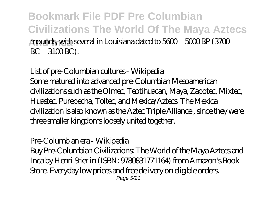**Bookmark File PDF Pre Columbian Civilizations The World Of The Maya Aztecs And Inca** mounds, with several in Louisiana dated to 5600–5000 BP (3700  $BC-3100 BC$ ).

List of pre-Columbian cultures - Wikipedia Some matured into advanced pre-Columbian Mesoamerican civilizations such as the Olmec, Teotihuacan, Maya, Zapotec, Mixtec, Huastec, Purepecha, Toltec, and Mexica/Aztecs. The Mexica civilization is also known as the Aztec Triple Alliance , since they were three smaller kingdoms loosely united together.

Pre-Columbian era - Wikipedia Buy Pre-Columbian Civilizations: The World of the Maya Aztecs and Inca by Henri Stierlin (ISBN: 9780831771164) from Amazon's Book Store. Everyday low prices and free delivery on eligible orders. Page 5/21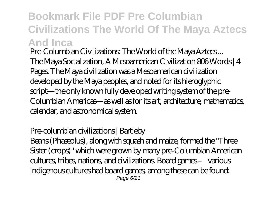## **Bookmark File PDF Pre Columbian Civilizations The World Of The Maya Aztecs And Inca**

Pre-Columbian Civilizations: The World of the Maya Aztecs ... The Maya Socialization, A Mesoamerican Civilization 806 Words | 4 Pages. The Maya civilization was a Mesoamerican civilization developed by the Maya peoples, and noted for its hieroglyphic script—the only known fully developed writing system of the pre-Columbian Americas—as well as for its art, architecture, mathematics, calendar, and astronomical system.

Pre-columbian civilizations | Bartleby

Beans (Phaseolus), along with squash and maize, formed the "Three Sister (crops)" which were grown by many pre-Columbian American cultures, tribes, nations, and civilizations. Board games – various indigenous cultures had board games, among these can be found: Page 6/21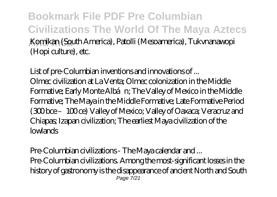**Bookmark File PDF Pre Columbian Civilizations The World Of The Maya Aztecs And Inca** Komikan (South America), Patolli (Mesoamerica), Tukvnanawopi (Hopi culture), etc.

List of pre-Columbian inventions and innovations of ... Olmec civilization at La Venta; Olmec colonization in the Middle Formative; Early Monte Albán; The Valley of Mexico in the Middle Formative; The Maya in the Middle Formative; Late Formative Period (300 bce –100 ce) Valley of Mexico; Valley of Oaxaca; Veracruz and Chiapas; Izapan civilization; The earliest Maya civilization of the lowlands

Pre-Columbian civilizations - The Maya calendar and ... Pre-Columbian civilizations. Among the most-significant losses in the history of gastronomy is the disappearance of ancient North and South Page 7/21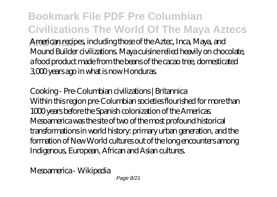**Bookmark File PDF Pre Columbian Civilizations The World Of The Maya Aztecs And Inca** American recipes, including those of the Aztec, Inca, Maya, and Mound Builder civilizations. Maya cuisine relied heavily on chocolate, a food product made from the beans of the cacao tree, domesticated 3,000 years ago in what is now Honduras.

Cooking - Pre-Columbian civilizations | Britannica Within this region pre-Columbian societies flourished for more than 1000 years before the Spanish colonization of the Americas. Mesoamerica was the site of two of the most profound historical transformations in world history: primary urban generation, and the formation of New World cultures out of the long encounters among Indigenous, European, African and Asian cultures.

Mesoamerica - Wikipedia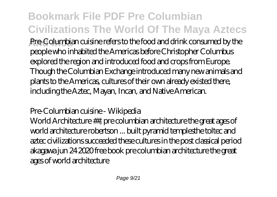# **Bookmark File PDF Pre Columbian Civilizations The World Of The Maya Aztecs**

**And Inca** Pre-Columbian cuisine refers to the food and drink consumed by the people who inhabited the Americas before Christopher Columbus explored the region and introduced food and crops from Europe. Though the Columbian Exchange introduced many new animals and plants to the Americas, cultures of their own already existed there, including the Aztec, Mayan, Incan, and Native American.

Pre-Columbian cuisine - Wikipedia

World Architecture ##, pre columbian architecture the great ages of world architecture robertson ... built pyramid templesthe toltec and aztec civilizations succeeded these cultures in the post classical period akagawa jun 24 2020 free book pre columbian architecture the great ages of world architecture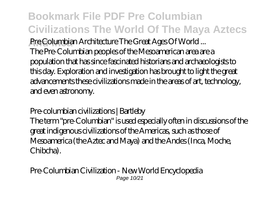**Bookmark File PDF Pre Columbian Civilizations The World Of The Maya Aztecs And Inca** Pre Columbian Architecture The Great Ages Of World ... The Pre-Columbian peoples of the Mesoamerican area are a population that has since fascinated historians and archaeologists to this day. Exploration and investigation has brought to light the great advancements these civilizations made in the areas of art, technology, and even astronomy.

Pre-columbian civilizations | Bartleby

The term "pre-Columbian" is used especially often in discussions of the great indigenous civilizations of the Americas, such as those of Mesoamerica (the Aztec and Maya) and the Andes (Inca, Moche, Chibcha).

Pre-Columbian Civilization - New World Encyclopedia Page 10/21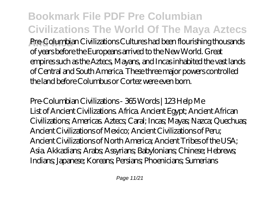**Bookmark File PDF Pre Columbian Civilizations The World Of The Maya Aztecs And Inca** Pre-Columbian Civilizations Cultures had been flourishing thousands of years before the Europeans arrived to the New World. Great empires such as the Aztecs, Mayans, and Incas inhabited the vast lands of Central and South America. These three major powers controlled the land before Columbus or Cortez were even born.

Pre-Columbian Civilizations - 365 Words | 123 Help Me List of Ancient Civilizations. Africa. Ancient Egypt; Ancient African Civilizations; Americas. Aztecs; Caral; Incas; Mayas; Nazca; Quechuas; Ancient Civilizations of Mexico; Ancient Civilizations of Peru; Ancient Civilizations of North America; Ancient Tribes of the USA; Asia. Akkadians; Arabs; Assyrians; Babylonians; Chinese; Hebrews; Indians; Japanese; Koreans; Persians; Phoenicians; Sumerians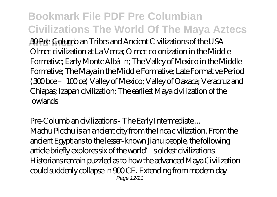# **Bookmark File PDF Pre Columbian Civilizations The World Of The Maya Aztecs**

**And Inca** 30 Pre-Columbian Tribes and Ancient Civilizations of the USA Olmec civilization at La Venta; Olmec colonization in the Middle Formative; Early Monte Albán; The Valley of Mexico in the Middle Formative; The Maya in the Middle Formative; Late Formative Period (300 bce –100 ce) Valley of Mexico; Valley of Oaxaca; Veracruz and Chiapas; Izapan civilization; The earliest Maya civilization of the lowlands

Pre-Columbian civilizations - The Early Intermediate ... Machu Picchu is an ancient city from the Inca civilization. From the ancient Egyptians to the lesser-known Jiahu people, the following article briefly explores six of the world's oldest civilizations. Historians remain puzzled as to how the advanced Maya Civilization could suddenly collapse in 900 CE. Extending from modern day Page 12/21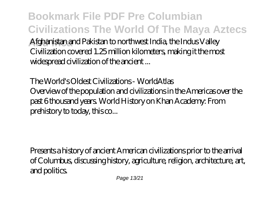**Bookmark File PDF Pre Columbian Civilizations The World Of The Maya Aztecs And Inca** Afghanistan and Pakistan to northwest India, the Indus Valley Civilization covered 1.25 million kilometers, making it the most widespread civilization of the ancient ...

The World's Oldest Civilizations - WorldAtlas Overview of the population and civilizations in the Americas over the past 6 thousand years. World History on Khan Academy: From prehistory to today, this co...

Presents a history of ancient American civilizations prior to the arrival of Columbus, discussing history, agriculture, religion, architecture, art, and politics.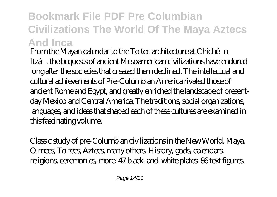## **Bookmark File PDF Pre Columbian Civilizations The World Of The Maya Aztecs And Inca**

From the Mayan calendar to the Toltec architecture at Chichén Itzá, the bequests of ancient Mesoamerican civilizations have endured long after the societies that created them declined. The intellectual and cultural achievements of Pre-Columbian America rivaled those of ancient Rome and Egypt, and greatly enriched the landscape of presentday Mexico and Central America. The traditions, social organizations, languages, and ideas that shaped each of these cultures are examined in this fascinating volume.

Classic study of pre-Columbian civilizations in the New World. Maya, Olmecs, Toltecs, Aztecs, many others. History, gods, calendars, religions, ceremonies, more. 47 black-and-white plates. 86 text figures.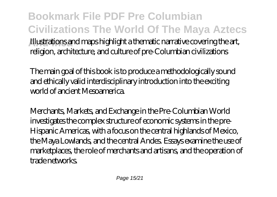**Bookmark File PDF Pre Columbian Civilizations The World Of The Maya Aztecs And Inca** Illustrations and maps highlight a thematic narrative covering the art, religion, architecture, and culture of pre-Columbian civilizations

The main goal of this book is to produce a methodologically sound and ethically valid interdisciplinary introduction into the exciting world of ancient Mesoamerica.

Merchants, Markets, and Exchange in the Pre-Columbian World investigates the complex structure of economic systems in the pre-Hispanic Americas, with a focus on the central highlands of Mexico, the Maya Lowlands, and the central Andes. Essays examine the use of marketplaces, the role of merchants and artisans, and the operation of trade networks.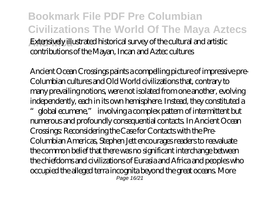**Bookmark File PDF Pre Columbian Civilizations The World Of The Maya Aztecs And Inca** Extensively illustrated historical survey of the cultural and artistic contributions of the Mayan, Incan and Aztec cultures

Ancient Ocean Crossings paints a compelling picture of impressive pre-Columbian cultures and Old World civilizations that, contrary to many prevailing notions, were not isolated from one another, evolving independently, each in its own hemisphere. Instead, they constituted a "global ecumene," involving a complex pattern of intermittent but numerous and profoundly consequential contacts. In Ancient Ocean Crossings: Reconsidering the Case for Contacts with the Pre-Columbian Americas, Stephen Jett encourages readers to reevaluate the common belief that there was no significant interchange between the chiefdoms and civilizations of Eurasia and Africa and peoples who occupied the alleged terra incognita beyond the great oceans. More Page 16/21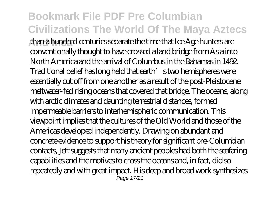## **Bookmark File PDF Pre Columbian Civilizations The World Of The Maya Aztecs**

**And Inca** than a hundred centuries separate the time that Ice Age hunters are conventionally thought to have crossed a land bridge from Asia into North America and the arrival of Columbus in the Bahamas in 1492. Traditional belief has long held that earth's two hemispheres were essentially cut off from one another as a result of the post-Pleistocene meltwater-fed rising oceans that covered that bridge. The oceans, along with arctic climates and daunting terrestrial distances, formed impermeable barriers to interhemispheric communication. This viewpoint implies that the cultures of the Old World and those of the Americas developed independently. Drawing on abundant and concrete evidence to support his theory for significant pre-Columbian contacts, Jett suggests that many ancient peoples had both the seafaring capabilities and the motives to cross the oceans and, in fact, did so repeatedly and with great impact. His deep and broad work synthesizes Page 17/21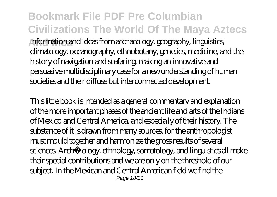**Bookmark File PDF Pre Columbian Civilizations The World Of The Maya Aztecs And Inca** information and ideas from archaeology, geography, linguistics, climatology, oceanography, ethnobotany, genetics, medicine, and the history of navigation and seafaring, making an innovative and persuasive multidisciplinary case for a new understanding of human societies and their diffuse but interconnected development.

This little book is intended as a general commentary and explanation of the more important phases of the ancient life and arts of the Indians of Mexico and Central America, and especially of their history. The substance of it is drawn from many sources, for the anthropologist must mould together and harmonize the gross results of several sciences. Archæology, ethnology, somatology, and linguistics all make their special contributions and we are only on the threshold of our subject. In the Mexican and Central American field we find the Page 18/21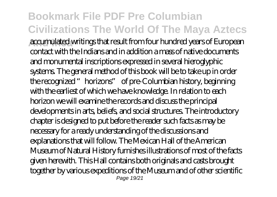#### **Bookmark File PDF Pre Columbian Civilizations The World Of The Maya Aztecs And Inca** accumulated writings that result from four hundred years of European contact with the Indians and in addition a mass of native documents and monumental inscriptions expressed in several hieroglyphic systems. The general method of this book will be to take up in order the recognized "horizons" of pre-Columbian history, beginning with the earliest of which we have knowledge. In relation to each horizon we will examine the records and discuss the principal developments in arts, beliefs, and social structures. The introductory chapter is designed to put before the reader such facts as may be necessary for a ready understanding of the discussions and explanations that will follow. The Mexican Hall of the American Museum of Natural History furnishes illustrations of most of the facts given herewith. This Hall contains both originals and casts brought together by various expeditions of the Museum and of other scientific Page 19/21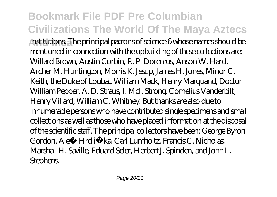#### **Bookmark File PDF Pre Columbian Civilizations The World Of The Maya Aztecs** institutions. The principal patrons of science 6 whose names should be mentioned in connection with the upbuilding of these collections are: Willard Brown, Austin Corbin, R. P. Doremus, Anson W. Hard, Archer M. Huntington, Morris K. Jesup, James H. Jones, Minor C. Keith, the Duke of Loubat, William Mack, Henry Marquand, Doctor William Pepper, A. D. Straus, I. McI. Strong, Cornelius Vanderbilt, Henry Villard, William C. Whitney. But thanks are also due to innumerable persons who have contributed single specimens and small collections as well as those who have placed information at the disposal of the scientific staff. The principal collectors have been: George Byron Gordon, Aleš Hrdli ka, Carl Lumholtz, Francis C. Nicholas Marshall H. Saville, Eduard Seler, Herbert J. Spinden, and John L. **Stephens.**